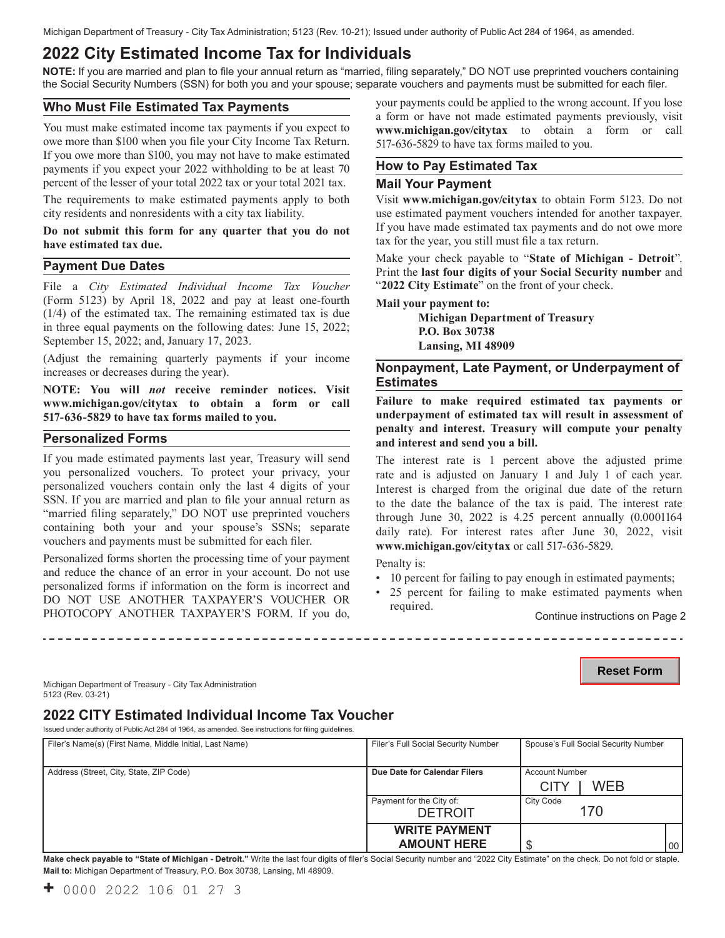# **2022 City Estimated Income Tax for Individuals**

**NOTE:** If you are married and plan to file your annual return as "married, filing separately," DO NOT use preprinted vouchers containing the Social Security Numbers (SSN) for both you and your spouse; separate vouchers and payments must be submitted for each filer.

### **Who Must File Estimated Tax Payments**

You must make estimated income tax payments if you expect to owe more than \$100 when you file your City Income Tax Return. If you owe more than \$100, you may not have to make estimated payments if you expect your 2022 withholding to be at least 70 percent of the lesser of your total 2022 tax or your total 2021 tax.

The requirements to make estimated payments apply to both city residents and nonresidents with a city tax liability.

**Do not submit this form for any quarter that you do not have estimated tax due.** 

### **Payment Due Dates**

 File a *City Estimated Individual Income Tax Voucher* (Form 5123) by April 18, 2022 and pay at least one-fourth (1/4) of the estimated tax. The remaining estimated tax is due in three equal payments on the following dates: June 15, 2022; September 15, 2022; and, January 17, 2023.

(Adjust the remaining quarterly payments if your income increases or decreases during the year).

**NOTE: You will** *not* **receive reminder notices. Visit <www.michigan.gov/citytax> to obtain a form or call 517-636-5829 to have tax forms mailed to you.** 

#### **Personalized Forms**

If you made estimated payments last year, Treasury will send you personalized vouchers. To protect your privacy, your personalized vouchers contain only the last 4 digits of your SSN. If you are married and plan to file your annual return as "married filing separately," DO NOT use preprinted vouchers containing both your and your spouse's SSNs; separate vouchers and payments must be submitted for each filer.

Personalized forms shorten the processing time of your payment and reduce the chance of an error in your account. Do not use personalized forms if information on the form is incorrect and DO NOT USE ANOTHER TAXPAYER'S VOUCHER OR PHOTOCOPY ANOTHER TAXPAYER'S FORM. If you do, your payments could be applied to the wrong account. If you lose a form or have not made estimated payments previously, visit **<www.michigan.gov/citytax>** to obtain a form or call 517-636-5829 to have tax forms mailed to you.

### **How to Pay Estimated Tax**

#### **Mail Your Payment**

Visit **<www.michigan.gov/citytax>** to obtain Form 5123. Do not use estimated payment vouchers intended for another taxpayer. If you have made estimated tax payments and do not owe more tax for the year, you still must file a tax return.

Make your check payable to "**State of Michigan - Detroit**". Print the **last four digits of your Social Security number** and "**2022 City Estimate**" on the front of your check.

#### **Mail your payment to:**

**Michigan Department of Treasury P.O. Box 30738 Lansing, MI 48909** 

### **Estimates Nonpayment, Late Payment, or Underpayment of**

**Failure to make required estimated tax payments or underpayment of estimated tax will result in assessment of penalty and interest. Treasury will compute your penalty and interest and send you a bill.** 

The interest rate is 1 percent above the adjusted prime rate and is adjusted on January 1 and July 1 of each year. Interest is charged from the original due date of the return to the date the balance of the tax is paid. The interest rate through June 30, 2022 is 4.25 percent annually (0.0001164 daily rate). For interest rates after June 30, 2022, visit **<www.michigan.gov/citytax>** or call 517-636-5829.

Penalty is:

- 10 percent for failing to pay enough in estimated payments;
- 25 percent for failing to make estimated payments when required. Continue instructions on Page 2

**Reset Form**

Michigan Department of Treasury - City Tax Administration 5123 (Rev. 03-21)

# **2022 CITY Estimated Individual Income Tax Voucher**

Issued under authority of Public Act 284 of 1964, as amended. See instructions for filing guidelines.

| Filer's Name(s) (First Name, Middle Initial, Last Name) | Filer's Full Social Security Number        |                                      | Spouse's Full Social Security Number |                 |
|---------------------------------------------------------|--------------------------------------------|--------------------------------------|--------------------------------------|-----------------|
| Address (Street, City, State, ZIP Code)                 | Due Date for Calendar Filers               | <b>Account Number</b><br><b>CITY</b> | WEB                                  |                 |
|                                                         | Payment for the City of:<br><b>DETROIT</b> | City Code<br>170                     |                                      |                 |
|                                                         | <b>WRITE PAYMENT</b><br><b>AMOUNT HERE</b> |                                      |                                      | 00 <sub>1</sub> |

**Make check payable to "State of Michigan - Detroit."** Write the last four digits of filer's Social Security number and "2022 City Estimate" on the check. Do not fold or staple. **Mail to:** Michigan Department of Treasury, P.O. Box 30738, Lansing, MI 48909.